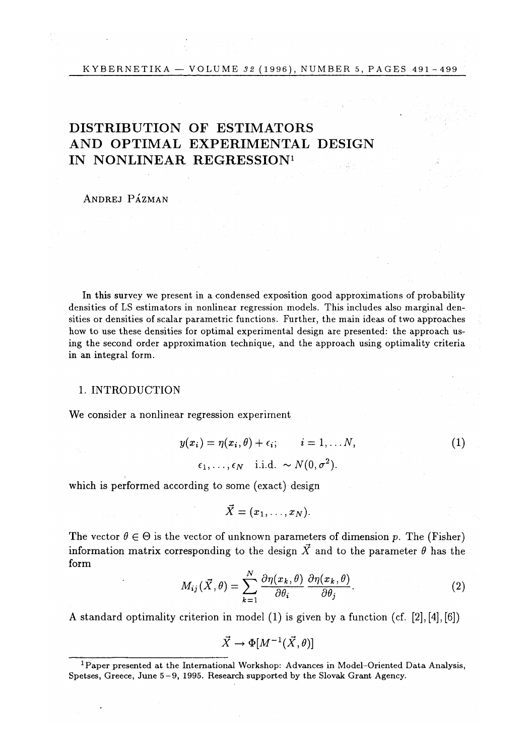# DISTRIBUTION OF ESTIMATORS AND OPTIMAL EXPERIMENTAL DESIGN IN NONLINEAR REGRESSION<sup>1</sup>

ANDREJ PÁZMAN

In this survey we present in a condensed exposition good approximations of probability densities of LS estimators in nonlinear regression models. This includes also marginal densities or densities of scalar parametric functions. Further, the main ideas of two approaches how to use these densities for optimal experimental design are presented: the approach using the second order approximation technique, and the approach using optimality criteria in an integral form.

#### 1. INTRODUCTION

We consider a nonlinear regression experiment

$$
y(x_i) = \eta(x_i, \theta) + \epsilon_i; \qquad i = 1, \dots N,
$$
  

$$
\epsilon_1, \dots, \epsilon_N \quad \text{i.i.d.} \sim N(0, \sigma^2).
$$
 (1)

which is performed according to some (exact) design

 $\vec{X} = (x_1, \ldots, x_N).$ 

The vector  $\theta \in \Theta$  is the vector of unknown parameters of dimension p. The (Fisher) information matrix corresponding to the design  $\vec{X}$  and to the parameter  $\theta$  has the form

$$
M_{ij}(\vec{X}, \theta) = \sum_{k=1}^{N} \frac{\partial \eta(x_k, \theta)}{\partial \theta_i} \frac{\partial \eta(x_k, \theta)}{\partial \theta_j}.
$$
 (2)

A standard optimality criterion in model (1) is given by a function (cf. [2], [4], [6])

 $\vec{X} \rightarrow \Phi[M^{-1}(\vec{X}, \theta)]$ 

<sup>&</sup>lt;sup>1</sup> Paper presented at the International Workshop: Advances in Model-Oriented Data Analysis, Spetses, Greece, June 5-9, 1995. Research supported by the Slovak Grant Agency.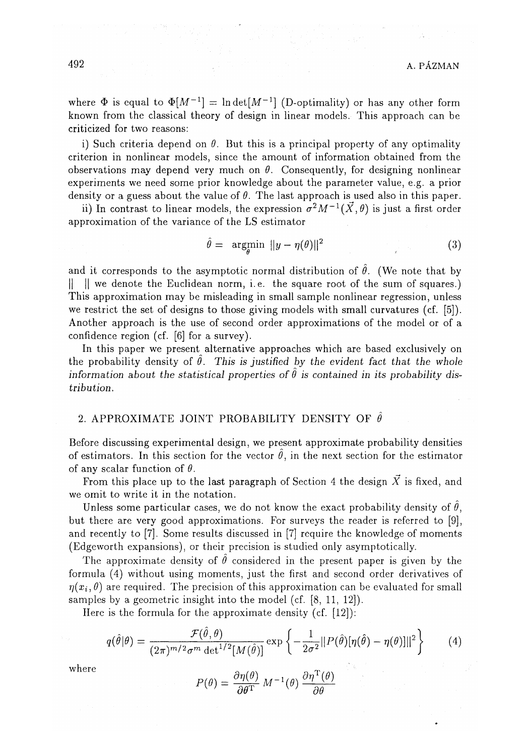where  $\Phi$  is equal to  $\Phi[M^{-1}] = \ln \det[M^{-1}]$  (D-optimality) or has any other form known from the classical theory of design in linear models. This approach can be criticized for two reasons:

i) Such criteria depend on  $\theta$ . But this is a principal property of any optimality criterion in nonlinear models, since the amount of information obtained from the observations may depend very much on  $\theta$ . Consequently, for designing nonlinear experiments we need some prior knowledge about the parameter value, e.g. a prior density or a guess about the value of *9.* The last approach is used also in this paper.

ii) In contrast to linear models, the expression  $\sigma^2 M^{-1}(\vec{X}, \theta)$  is just a first order approximation of the variance of the LS estimator

**(7** 

$$
\hat{\theta} = \underset{\theta}{\arg\min} \|\hat{y} - \eta(\theta)\|^2 \tag{3}
$$

and it corresponds to the asymptotic normal distribution of  $\hat{\theta}$ . (We note that by || || we denote the Euclidean norm, i.e. the square root of the sum of squares.) This approximation may be misleading in small sample nonlinear regression, unless we restrict the set of designs to those giving models with small curvatures (cf. [5]). Another approach is the use of second order approximations of the model or of a confidence region (cf. [6] for a survey).

In this paper we present alternative approaches which are based exclusively on the probability density of  $\hat{\theta}$ . This is justified by the evident fact that the whole information about the statistical properties of  $\hat{\theta}$  is contained in its probability dis*tribution.* 

### 2. APPROXIMATE JOINT PROBABILITY DENSITY OF  $\hat{\theta}$

Before discussing experimental design, we present approximate probability densities of estimators. In this section for the vector  $\theta$ , in the next section for the estimator of any scalar function of *9.* 

From this place up to the last paragraph of Section 4 the design  $\overline{X}$  is fixed, and we omit to write it in the notation.

Unless some particular cases, we do not know the exact probability density of  $\theta$ , but there are very good approximations. For surveys the reader is referred to [9], and recently to [7]. Some results discussed in [7] require the knowledge of moments (Edgeworth expansions), or their precision is studied only asymptotically.

The approximate density of  $\hat{\theta}$  considered in the present paper is given by the formula (4) without using moments, just the first and second order derivatives of  $\eta(x_i, \theta)$  are required. The precision of this approximation can be evaluated for small samples by a geometric insight into the model (cf. [8, 11, 12]).

Here is the formula for the approximate density (cf. [12]):

$$
q(\hat{\theta}|\theta) = \frac{\mathcal{F}(\hat{\theta}, \theta)}{(2\pi)^{m/2}\sigma^m \det^{1/2}[M(\hat{\theta})]} \exp\left\{-\frac{1}{2\sigma^2}||P(\hat{\theta})[\eta(\hat{\theta}) - \eta(\theta)]||^2\right\}
$$
(4)

where  
\n
$$
P(\theta) = \frac{\partial \eta(\theta)}{\partial \theta^{\mathrm{T}}} M^{-1}(\theta) \frac{\partial \eta^{\mathrm{T}}(\theta)}{\partial \theta}
$$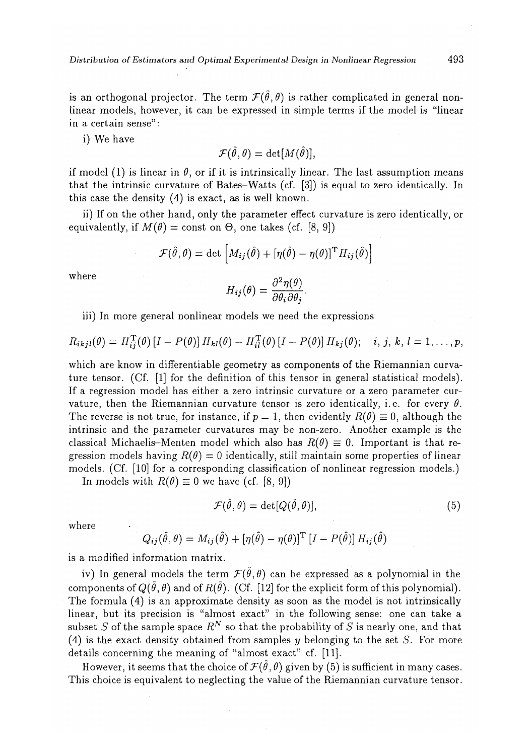is an orthogonal projector. The term  $\mathcal{F}(\hat{\theta}, \theta)$  is rather complicated in general nonlinear models, however, it can be expressed in simple terms if the model is "linear in a certain sense":

i) We have

$$
\mathcal{F}(\hat{\theta},\theta) = \det[M(\hat{\theta})],
$$

if model (1) is linear in  $\theta$ , or if it is intrinsically linear. The last assumption means that the intrinsic curvature of Bates-Watts (cf. [3]) is equal to zero identically. In this case the density (4) is exact, as is well known.

ii) If on the other hand, only the parameter effect curvature is zero identically, or equivalently, if  $M(\theta) = \text{const}$  on  $\Theta$ , one takes (cf. [8, 9])

$$
\mathcal{F}(\hat{\theta}, \theta) = \det \left[ M_{ij}(\hat{\theta}) + [\eta(\hat{\theta}) - \eta(\theta)]^{\mathrm{T}} H_{ij}(\hat{\theta}) \right]
$$

where 
$$
H_{ij}(\theta) = \frac{\partial^2 \eta(\theta)}{\partial \theta_i \partial \theta_j}.
$$

iii) In more general nonlinear models we need the expressions

$$
R_{ikjl}(\theta) = H_{ij}^{\mathrm{T}}(\theta) \left[I - P(\theta)\right] H_{kl}(\theta) - H_{il}^{\mathrm{T}}(\theta) \left[I - P(\theta)\right] H_{kj}(\theta); \quad i, j, k, l = 1, \ldots, p,
$$

which are know in differentiable geometry as components of the Riemannian curvature tensor. (Cf. [1] for the definition of this tensor in general statistical models). If a regression model has either a zero intrinsic curvature or a zero parameter curvature, then the Riemannian curvature tensor is zero identically, i.e. for every  $\theta$ . The reverse is not true, for instance, if  $p = 1$ , then evidently  $R(\theta) \equiv 0$ , although the intrinsic and the parameter curvatures may be non-zero. Another example is the classical Michaelis-Menten model which also has  $R(\theta) \equiv 0$ . Important is that regression models having  $R(\theta) = 0$  identically, still maintain some properties of linear models. (Cf. [10] for a corresponding classification of nonlinear regression models.)

In models with  $R(\theta) \equiv 0$  we have (cf. [8, 9])

$$
\mathcal{F}(\hat{\theta}, \theta) = \det[Q(\hat{\theta}, \theta)],\tag{5}
$$

where

$$
Q_{ij}(\hat{\theta},\theta) = M_{ij}(\hat{\theta}) + [\eta(\hat{\theta}) - \eta(\theta)]^{\mathrm{T}} [I - P(\hat{\theta})] H_{ij}(\hat{\theta})
$$

is a modified information matrix.

iv) In general models the term  $\mathcal{F}(\hat{\theta}, \theta)$  can be expressed as a polynomial in the components of  $Q(\hat{\theta}, \theta)$  and of  $R(\hat{\theta})$ . (Cf. [12] for the explicit form of this polynomial). The formula (4) is an approximate density as soon as the model is not intrinsically linear, but its precision is "almost exact" in the following sense: one can take a subset S of the sample space  $R^N$  so that the probability of S is nearly one, and that (4) is the exact density obtained from samples  $y$  belonging to the set  $S$ . For more details concerning the meaning of "almost exact" cf. [11].

However, it seems that the choice of  $\mathcal{F}(\hat{\theta}, \theta)$  given by (5) is sufficient in many cases. This choice is equivalent to neglecting the value of the Riemannian curvature tensor.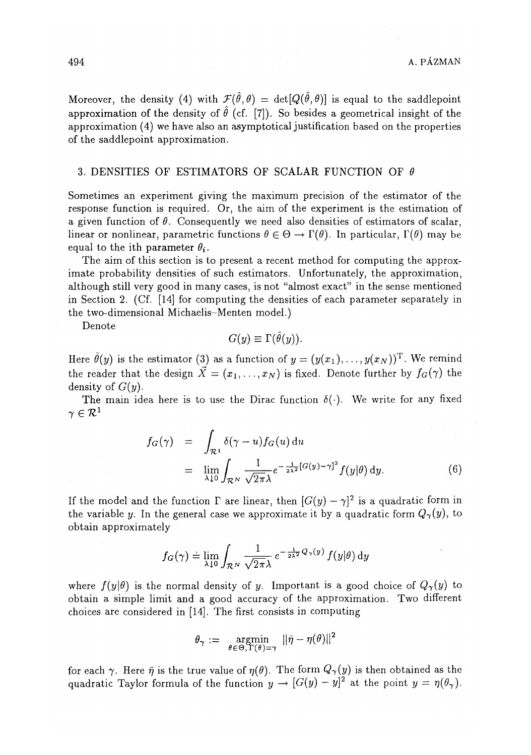Moreover, the density (4) with  $\mathcal{F}(\hat{\theta}, \theta) = det[Q(\hat{\theta}, \theta)]$  is equal to the saddlepoint approximation of the density of  $\hat{\theta}$  (cf. [7]). So besides a geometrical insight of the approximation (4) we have also an asymptotical justification based on the properties of the saddlepoint approximation.

#### 3. DENSITIES OF ESTIMATORS OF SCALAR FUNCTION OF *6*

Sometimes an experiment giving the maximum precision of the estimator of the response function is required. Or, the aim of the experiment is the estimation of a given function of  $\theta$ . Consequently we need also densities of estimators of scalar, linear or nonlinear, parametric functions  $\theta \in \Theta \to \Gamma(\theta)$ . In particular,  $\Gamma(\theta)$  may be equal to the ith parameter  $\theta_i$ .

The aim of this section is to present a recent method for computing the approximate probability densities of such estimators. Unfortunately, the approximation, although still very good in many cases, is not "almost exact" in the sense mentioned in Section 2. (Cf. [14] for computing the densities of each parameter separately in the two-dimensional Michaelis-Menten model.)

Denote

$$
G(y) \equiv \Gamma(\theta(y)).
$$

Here  $\hat{\theta}(y)$  is the estimator (3) as a function of  $y = (y(x_1), \ldots, y(x_N))^T$ . We remind the reader that the design  $\vec{X} = (x_1, \ldots, x_N)$  is fixed. Denote further by  $f_G(\gamma)$  the density of *G(y).* 

The main idea here is to use the Dirac function  $\delta(\cdot)$ . We write for any fixed  $\gamma \in \mathcal{R}$ 

$$
f_G(\gamma) = \int_{\mathcal{R}^1} \delta(\gamma - u) f_G(u) du
$$
  
= 
$$
\lim_{\lambda \downarrow 0} \int_{\mathcal{R}^N} \frac{1}{\sqrt{2\pi \lambda}} e^{-\frac{1}{2\lambda^2} [G(y) - \gamma]^2} f(y|\theta) dy.
$$
 (6)

If the model and the function  $\Gamma$  are linear, then  $[G(y) - \gamma]^2$  is a quadratic form in the variable y. In the general case we approximate it by a quadratic form  $Q_{\gamma}(y)$ , to obtain approximately

$$
f_G(\gamma) \doteq \lim_{\lambda \downarrow 0} \int_{\mathcal{R}^N} \frac{1}{\sqrt{2\pi\lambda}} e^{-\frac{1}{2\lambda^2} Q_{\gamma}(y)} f(y|\theta) \, \mathrm{d}y
$$

where  $f(y|\theta)$  is the normal density of y. Important is a good choice of  $Q_{\gamma}(y)$  to obtain a simple limit and a good accuracy of the approximation. Two different choices are considered in [14]. The first consists in computing

$$
\theta_{\gamma} := \operatorname*{argmin}_{\theta \in \Theta, \, \Gamma(\theta) = \gamma} \, ||\bar{\eta} - \eta(\theta)||^2
$$

for each  $\gamma$ . Here  $\bar{\eta}$  is the true value of  $\eta(\theta)$ . The form  $Q_{\gamma}(y)$  is then obtained as the quadratic Taylor formula of the function  $y \to [G(y) - y]^2$  at the point  $y = \eta(\theta_\gamma)$ .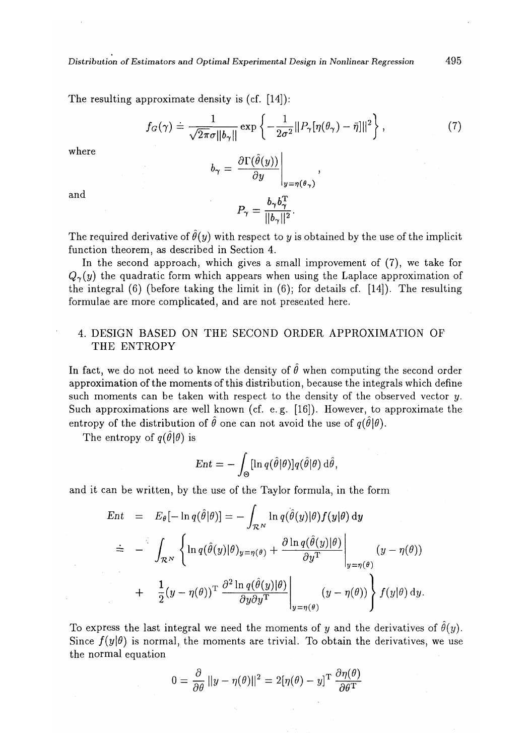The resulting approximate density is (cf. [14]):

$$
f_G(\gamma) \doteq \frac{1}{\sqrt{2\pi}\sigma \|\mathbf{b}_{\gamma}\|} \exp\left\{-\frac{1}{2\sigma^2} \|P_{\gamma}[\eta(\theta_{\gamma}) - \bar{\eta}]\|^2\right\},\tag{7}
$$

where

$$
b_{\gamma} = \left. \frac{\partial \Gamma(\theta(y))}{\partial y} \right|_{y=\eta(\theta_{\gamma})},
$$

and

$$
P_{\gamma} = \frac{b_{\gamma}b_{\gamma}^{\mathrm{T}}}{||b_{\gamma}||^{2}}.
$$

The required derivative of  $\hat{\theta}(y)$  with respect to y is obtained by the use of the implicit function theorem, as described in Section 4.

In the second approach, which gives a small improvement of (7), we take for  $Q_{\gamma}(y)$  the quadratic form which appears when using the Laplace approximation of the integral  $(6)$  (before taking the limit in  $(6)$ ; for details cf. [14]). The resulting formulae are more complicated, and are not presented here.

## 4. DESIGN BASED ON THE SECOND ORDER APPROXIMATION OF THE ENTROPY

In fact, we do not need to know the density of  $\hat{\theta}$  when computing the second order approximation of the moments of this distribution, because the integrals which define such moments can be taken with respect to the density of the observed vector *y.*  Such approximations are well known (cf. e.g. [16]). However, to approximate the entropy of the distribution of  $\hat{\theta}$  one can not avoid the use of  $q(\hat{\theta}|\theta)$ .

The entropy of  $q(\hat{\theta}|\theta)$  is

$$
Ent = -\int_{\Theta} [\ln q(\hat{\theta}|\theta)] q(\hat{\theta}|\theta) d\hat{\theta},
$$

and it can be written, by the use of the Taylor formula, in the form

$$
\begin{array}{rcl}\n\text{Ent} & = & E_{\theta}[-\ln q(\hat{\theta}|\theta)] = -\int_{\mathcal{R}^N} \ln q(\hat{\theta}(y)|\theta) f(y|\theta) \, \mathrm{d}y \\
& \doteq & -\int_{\mathcal{R}^N} \left\{ \ln q(\hat{\theta}(y)|\theta)_{y=\eta(\theta)} + \frac{\partial \ln q(\hat{\theta}(y)|\theta)}{\partial y^{\mathrm{T}}} \right\}_{y=\eta(\theta)} \left( y - \eta(\theta) \right) \\
& & + \frac{1}{2} (y - \eta(\theta))^{\mathrm{T}} \left. \frac{\partial^2 \ln q(\hat{\theta}(y)|\theta)}{\partial y \partial y^{\mathrm{T}}} \right\}_{y=\eta(\theta)} \left( y - \eta(\theta) \right) \right\} f(y|\theta) \, \mathrm{d}y.\n\end{array}
$$

To express the last integral we need the moments of y and the derivatives of  $\hat{\theta}(y)$ . Since  $f(y|\theta)$  is normal, the moments are trivial. To obtain the derivatives, we use the normal equation

$$
0 = \frac{\partial}{\partial \theta} ||y - \eta(\theta)||^2 = 2[\eta(\theta) - y]^{\mathrm{T}} \frac{\partial \eta(\theta)}{\partial \theta^{\mathrm{T}}}
$$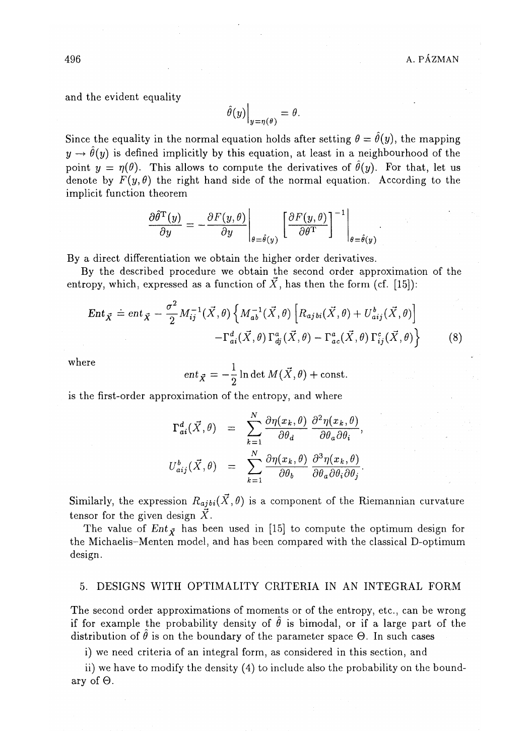and the evident equality

$$
\widehat{\theta}(y)\Big|_{y=\eta(\theta)}=\theta.
$$

Since the equality in the normal equation holds after setting  $\theta = \hat{\theta}(y)$ , the mapping  $y \rightarrow \hat{\theta}(y)$  is defined implicitly by this equation, at least in a neighbourhood of the point  $y = \eta(\theta)$ . This allows to compute the derivatives of  $\hat{\theta}(y)$ . For that, let us denote by  $F(y, \theta)$  the right hand side of the normal equation. According to the implicit function theorem

$$
\frac{\partial \hat{\theta}^{\mathrm{T}}(y)}{\partial y} = -\frac{\partial F(y, \theta)}{\partial y}\Big|_{\theta = \hat{\theta}(y)} \left[\frac{\partial F(y, \theta)}{\partial \theta^{\mathrm{T}}}\right]^{-1}\Big|_{\theta = \hat{\theta}(y)}.
$$

By a direct differentiation we obtain the higher order derivatives.

By the described procedure we obtain the second order approximation of the entropy, which, expressed as a function of  $\vec{X}$ , has then the form (cf. [15]):

$$
Ent_{\vec{X}} \doteq ent_{\vec{X}} - \frac{\sigma^2}{2} M_{ij}^{-1}(\vec{X}, \theta) \left\{ M_{ab}^{-1}(\vec{X}, \theta) \left[ R_{ajbi}(\vec{X}, \theta) + U_{aij}^b(\vec{X}, \theta) \right] - \Gamma_{ai}^d(\vec{X}, \theta) \Gamma_{aj}^a(\vec{X}, \theta) - \Gamma_{ac}^a(\vec{X}, \theta) \Gamma_{ij}^c(\vec{X}, \theta) \right\}
$$
(8)

where

$$
ent_{\vec{X}} = -\frac{1}{2} \ln \det M(\vec{X}, \theta) + \text{const.}
$$

is the first-order approximation of the entropy, and where

$$
\Gamma_{ai}^{d}(\vec{X},\theta) = \sum_{k=1}^{N} \frac{\partial \eta(x_k,\theta)}{\partial \theta_a} \frac{\partial^2 \eta(x_k,\theta)}{\partial \theta_a \partial \theta_i},
$$
  

$$
U_{aij}^{b}(\vec{X},\theta) = \sum_{k=1}^{N} \frac{\partial \eta(x_k,\theta)}{\partial \theta_b} \frac{\partial^3 \eta(x_k,\theta)}{\partial \theta_a \partial \theta_i \partial \theta_j}.
$$

Similarly, the expression  $R_{ajbi}(\vec{X}, \theta)$  is a component of the Riemannian curvature tensor for the given design  $\vec{X}$ .

The value of  $Ent_{\vec{X}}$  has been used in [15] to compute the optimum design for the Michaelis-Menten model, and has been compared with the classical D-optimum design.

#### 5. DESIGNS WITH OPTIMALITY CRITERIA IN AN INTEGRAL FORM

The second order approximations of moments or of the entropy, etc., can be wrong if for example the probability density of  $\hat{\theta}$  is bimodal, or if a large part of the distribution of  $\hat{\theta}$  is on the boundary of the parameter space  $\Theta$ . In such cases

i) we need criteria of an integral form, as considered in this section, and

ii) we have to modify the density (4) to include also the probability on the boundary of  $\Theta$ .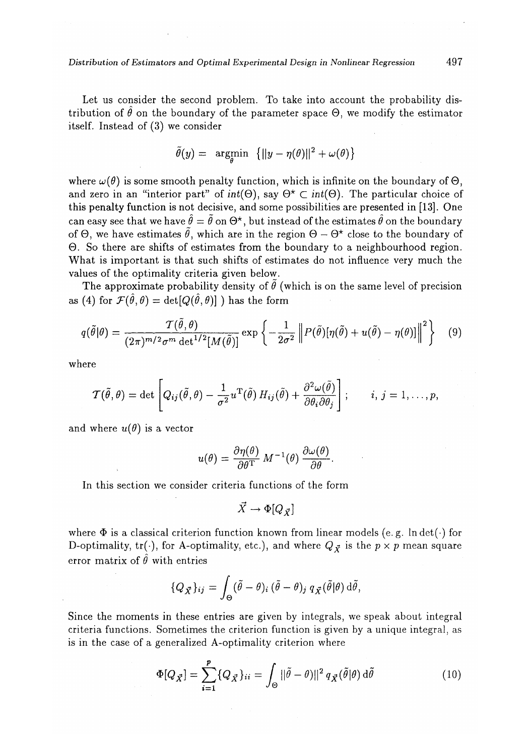Let us consider the second problem. To take into account the probability distribution of  $\hat{\theta}$  on the boundary of the parameter space  $\Theta$ , we modify the estimator itself. Instead of (3) we consider

$$
\tilde{\theta}(y) = \argmin_{\theta} \left\{ ||y - \eta(\theta)||^2 + \omega(\theta) \right\}
$$

where  $\omega(\theta)$  is some smooth penalty function, which is infinite on the boundary of  $\Theta$ , and zero in an "interior part" of  $int(\Theta)$ , say  $\Theta^* \subset int(\Theta)$ . The particular choice of this penalty function is not decisive, and some possibilities are presented in [13]. One can easy see that we have  $\hat{\theta} = \tilde{\theta}$  on  $\Theta^*$ , but instead of the estimates  $\hat{\theta}$  on the boundary of  $\Theta$ , we have estimates  $\tilde{\theta}$ , which are in the region  $\Theta - \Theta^*$  close to the boundary of 0. So there are shifts of estimates from the boundary to a neighbourhood region. What is important is that such shifts of estimates do not influence very much the values of the optimality criteria given below.

The approximate probability density of  $\ddot{\theta}$  (which is on the same level of precision as (4) for  $\mathcal{F}(\hat{\theta}, \theta) = det[Q(\hat{\theta}, \theta)]$  ) has the form

$$
q(\tilde{\theta}|\theta) = \frac{\mathcal{T}(\tilde{\theta}, \theta)}{(2\pi)^{m/2}\sigma^m \det^{1/2}[M(\tilde{\theta})]} \exp\left\{-\frac{1}{2\sigma^2} \left\|P(\tilde{\theta})[\eta(\tilde{\theta}) + u(\tilde{\theta}) - \eta(\theta)]\right\|^2\right\} \tag{9}
$$

where

$$
\mathcal{T}(\tilde{\theta},\theta) = \det \left[ Q_{ij}(\tilde{\theta},\theta) - \frac{1}{\sigma^2} u^{\mathrm{T}}(\tilde{\theta}) H_{ij}(\tilde{\theta}) + \frac{\partial^2 \omega(\tilde{\theta})}{\partial \theta_i \partial \theta_j} \right]; \qquad i, j = 1, \ldots, p,
$$

and where  $u(\theta)$  is a vector

$$
u(\theta) = \frac{\partial \eta(\theta)}{\partial \theta^{\mathrm{T}}} \, M^{-1}(\theta) \, \frac{\partial \omega(\theta)}{\partial \theta}.
$$

In this section we consider criteria functions of the form

$$
\vec{X} \to \Phi[Q_{\vec{X}}]
$$

where  $\Phi$  is a classical criterion function known from linear models (e.g. lndet( $\cdot$ ) for D-optimality, tr( $\cdot$ ), for A-optimality, etc.), and where  $Q_{\vec{X}}$  is the  $p \times p$  mean square error matrix of  $\hat{\theta}$  with entries

$$
\{Q_{\vec{X}}\}_{ij} = \int_{\Theta} (\tilde{\theta} - \theta)_i (\tilde{\theta} - \theta)_j q_{\vec{X}}(\tilde{\theta}|\theta) d\tilde{\theta},
$$

Since the moments in these entries are given by integrals, we speak about integral criteria functions. Sometimes the criterion function is given by a unique integral, as is in the case of a generalized A-optimality criterion where

$$
\Phi[Q_{\vec{X}}] = \sum_{i=1}^{p} \{Q_{\vec{X}}\}_{ii} = \int_{\Theta} ||\tilde{\theta} - \theta||^2 q_{\vec{X}}(\tilde{\theta}|\theta) d\tilde{\theta}
$$
(10)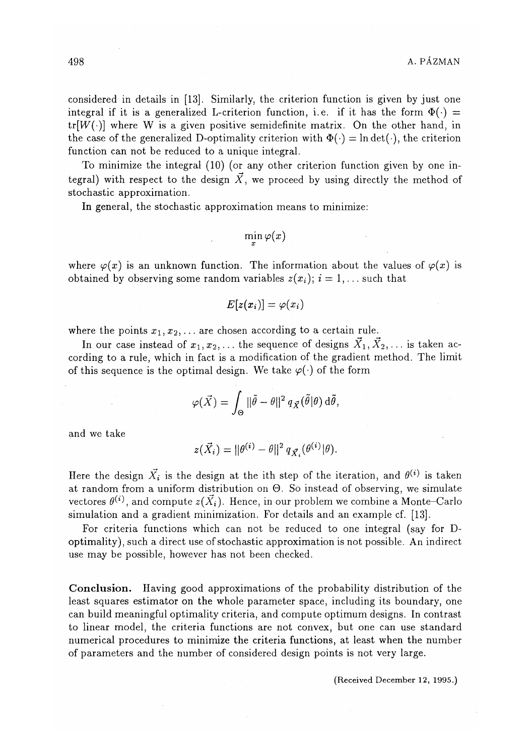considered in details in [13]. Similarly, the criterion function is given by just one integral if it is a generalized L-criterion function, i.e. if it has the form  $\Phi(\cdot)$  =  $tr[W(\cdot)]$  where W is a given positive semidefinite matrix. On the other hand, in the case of the generalized D-optimality criterion with  $\Phi(\cdot) = \ln \det(\cdot)$ , the criterion function can not be reduced to a unique integral.

To minimize the integral (10) (or any other criterion function given by one integral) with respect to the design  $\vec{X}$ , we proceed by using directly the method of stochastic approximation.

In general, the stochastic approximation means to minimize:

$$
\min_x \varphi(x)
$$

where  $\varphi(x)$  is an unknown function. The information about the values of  $\varphi(x)$  is obtained by observing some random variables  $z(x_i)$ ;  $i = 1, \ldots$  such that

$$
E[z(x_i)] = \varphi(x_i)
$$

where the points  $x_1, x_2, \ldots$  are chosen according to a certain rule.

In our case instead of  $x_1, x_2, \ldots$  the sequence of designs  $\vec{X}_1, \vec{X}_2, \ldots$  is taken according to a rule, which in fact is a modification of the gradient method. The limit of this sequence is the optimal design. We take  $\varphi(\cdot)$  of the form

$$
\varphi(\vec{X}) = \int_{\Theta} ||\tilde{\theta} - \theta||^2 q_{\vec{X}}(\tilde{\theta}|\theta) d\tilde{\theta},
$$

and we take

$$
z(\vec{X}_i) = ||\theta^{(i)} - \theta||^2 q_{\vec{X}_i}(\theta^{(i)}|\theta).
$$

Here the design  $\vec{X}_i$  is the design at the ith step of the iteration, and  $\theta^{(i)}$  is taken at random from a uniform distribution on O. So instead of observing, we simulate vectores  $\theta^{(i)}$ , and compute  $z(\vec{X}_i)$ . Hence, in our problem we combine a Monte-Carlo simulation and a gradient minimization. For details and an example cf. [13].

For criteria functions which can not be reduced to one integral (say for Doptimality), such a direct use of stochastic approximation is not possible. An indirect use may be possible, however has not been checked.

C o**nclusion**. Having good approximations of the probability distribution of the least squares estimator on the whole parameter space, including its boundary, one can build meaningful optimality criteria, and compute optimum designs. In contrast to linear model, the criteria functions are not convex, but one can use standard numerical procedures to minimize the criteria functions, at least when the number of parameters and the number of considered design points is not very large.

(Received December 12, 1995.)